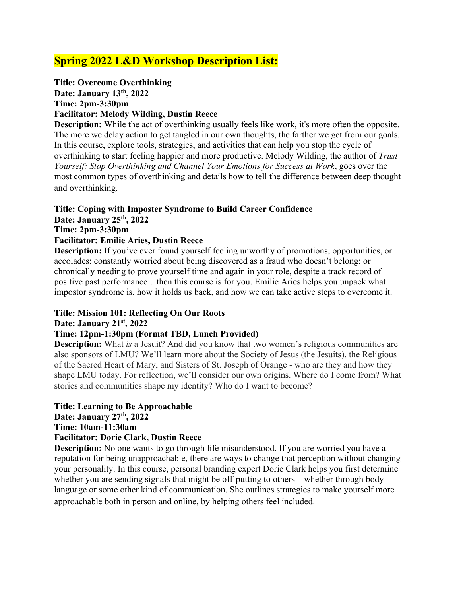# **Spring 2022 L&D Workshop Description List:**

# **Title: Overcome Overthinking**

**Date: January 13th, 2022 Time: 2pm-3:30pm**

# **Facilitator: Melody Wilding, Dustin Reece**

**Description:** While the act of overthinking usually feels like work, it's more often the opposite. The more we delay action to get tangled in our own thoughts, the farther we get from our goals. In this course, explore tools, strategies, and activities that can help you stop the cycle of overthinking to start feeling happier and more productive. Melody Wilding, the author of *Trust Yourself: Stop Overthinking and Channel Your Emotions for Success at Work*, goes over the most common types of overthinking and details how to tell the difference between deep thought and overthinking.

### **Title: Coping with Imposter Syndrome to Build Career Confidence**

### **Date: January 25th, 2022**

### **Time: 2pm-3:30pm**

### **Facilitator: Emilie Aries, Dustin Reece**

**Description:** If you've ever found yourself feeling unworthy of promotions, opportunities, or accolades; constantly worried about being discovered as a fraud who doesn't belong; or chronically needing to prove yourself time and again in your role, despite a track record of positive past performance…then this course is for you. Emilie Aries helps you unpack what impostor syndrome is, how it holds us back, and how we can take active steps to overcome it.

# **Title: Mission 101: Reflecting On Our Roots**

### **Date: January 21st, 2022**

### **Time: 12pm-1:30pm (Format TBD, Lunch Provided)**

**Description:** What *is* a Jesuit? And did you know that two women's religious communities are also sponsors of LMU? We'll learn more about the Society of Jesus (the Jesuits), the Religious of the Sacred Heart of Mary, and Sisters of St. Joseph of Orange - who are they and how they shape LMU today. For reflection, we'll consider our own origins. Where do I come from? What stories and communities shape my identity? Who do I want to become?

### **Title: Learning to Be Approachable**

**Date: January 27th, 2022**

### **Time: 10am-11:30am**

### **Facilitator: Dorie Clark, Dustin Reece**

**Description:** No one wants to go through life misunderstood. If you are worried you have a reputation for being unapproachable, there are ways to change that perception without changing your personality. In this course, personal branding expert Dorie Clark helps you first determine whether you are sending signals that might be off-putting to others—whether through body language or some other kind of communication. She outlines strategies to make yourself more approachable both in person and online, by helping others feel included.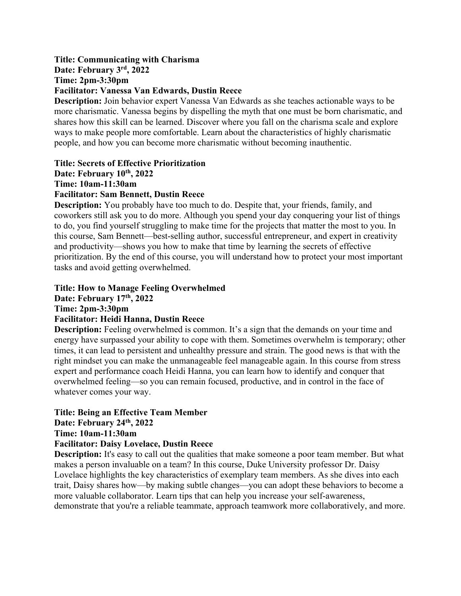#### **Title: Communicating with Charisma Date: February 3rd, 2022 Time: 2pm-3:30pm**

### **Facilitator: Vanessa Van Edwards, Dustin Reece**

**Description:** Join behavior expert Vanessa Van Edwards as she teaches actionable ways to be more charismatic. Vanessa begins by dispelling the myth that one must be born charismatic, and shares how this skill can be learned. Discover where you fall on the charisma scale and explore ways to make people more comfortable. Learn about the characteristics of highly charismatic people, and how you can become more charismatic without becoming inauthentic.

### **Title: Secrets of Effective Prioritization Date: February 10th, 2022 Time: 10am-11:30am Facilitator: Sam Bennett, Dustin Reece**

**Description:** You probably have too much to do. Despite that, your friends, family, and coworkers still ask you to do more. Although you spend your day conquering your list of things to do, you find yourself struggling to make time for the projects that matter the most to you. In this course, Sam Bennett—best-selling author, successful entrepreneur, and expert in creativity and productivity—shows you how to make that time by learning the secrets of effective prioritization. By the end of this course, you will understand how to protect your most important tasks and avoid getting overwhelmed.

# **Title: How to Manage Feeling Overwhelmed**

**Date: February 17th, 2022**

**Time: 2pm-3:30pm**

# **Facilitator: Heidi Hanna, Dustin Reece**

**Description:** Feeling overwhelmed is common. It's a sign that the demands on your time and energy have surpassed your ability to cope with them. Sometimes overwhelm is temporary; other times, it can lead to persistent and unhealthy pressure and strain. The good news is that with the right mindset you can make the unmanageable feel manageable again. In this course from stress expert and performance coach Heidi Hanna, you can learn how to identify and conquer that overwhelmed feeling—so you can remain focused, productive, and in control in the face of whatever comes your way.

# **Title: Being an Effective Team Member Date: February 24th, 2022 Time: 10am-11:30am**

### **Facilitator: Daisy Lovelace, Dustin Reece**

**Description:** It's easy to call out the qualities that make someone a poor team member. But what makes a person invaluable on a team? In this course, Duke University professor Dr. Daisy Lovelace highlights the key characteristics of exemplary team members. As she dives into each trait, Daisy shares how—by making subtle changes—you can adopt these behaviors to become a more valuable collaborator. Learn tips that can help you increase your self-awareness, demonstrate that you're a reliable teammate, approach teamwork more collaboratively, and more.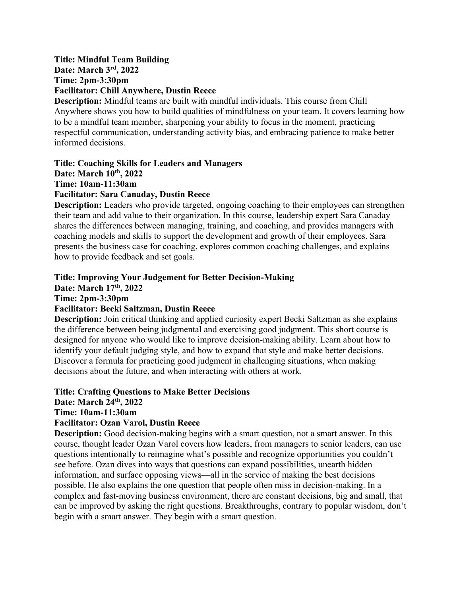# **Title: Mindful Team Building Date: March 3rd, 2022 Time: 2pm-3:30pm Facilitator: Chill Anywhere, Dustin Reece**

**Description:** Mindful teams are built with mindful individuals. This course from Chill Anywhere shows you how to build qualities of mindfulness on your team. It covers learning how to be a mindful team member, sharpening your ability to focus in the moment, practicing respectful communication, understanding activity bias, and embracing patience to make better informed decisions.

# **Title: Coaching Skills for Leaders and Managers Date: March 10th, 2022 Time: 10am-11:30am**

**Facilitator: Sara Canaday, Dustin Reece**

**Description:** Leaders who provide targeted, ongoing coaching to their employees can strengthen their team and add value to their organization. In this course, leadership expert Sara Canaday shares the differences between managing, training, and coaching, and provides managers with coaching models and skills to support the development and growth of their employees. Sara presents the business case for coaching, explores common coaching challenges, and explains how to provide feedback and set goals.

### **Title: Improving Your Judgement for Better Decision-Making Date: March 17th, 2022 Time: 2pm-3:30pm Facilitator: Becki Saltzman, Dustin Reece**

**Description:** Join critical thinking and applied curiosity expert Becki Saltzman as she explains the difference between being judgmental and exercising good judgment. This short course is designed for anyone who would like to improve decision-making ability. Learn about how to identify your default judging style, and how to expand that style and make better decisions. Discover a formula for practicing good judgment in challenging situations, when making decisions about the future, and when interacting with others at work.

**Title: Crafting Questions to Make Better Decisions** 

# **Date: March 24th, 2022**

# **Time: 10am-11:30am**

# **Facilitator: Ozan Varol, Dustin Reece**

**Description:** Good decision-making begins with a smart question, not a smart answer. In this course, thought leader Ozan Varol covers how leaders, from managers to senior leaders, can use questions intentionally to reimagine what's possible and recognize opportunities you couldn't see before. Ozan dives into ways that questions can expand possibilities, unearth hidden information, and surface opposing views—all in the service of making the best decisions possible. He also explains the one question that people often miss in decision-making. In a complex and fast-moving business environment, there are constant decisions, big and small, that can be improved by asking the right questions. Breakthroughs, contrary to popular wisdom, don't begin with a smart answer. They begin with a smart question.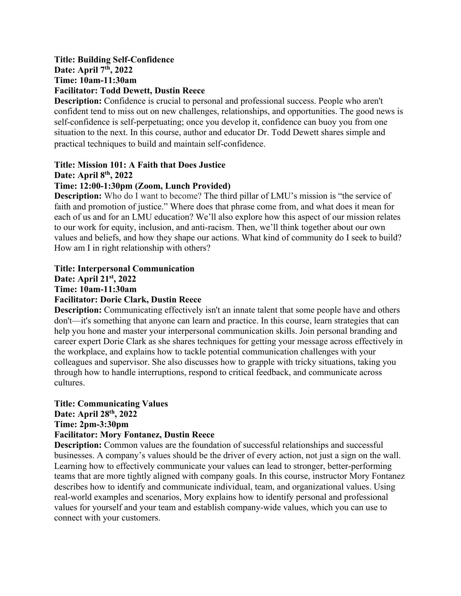# **Title: Building Self-Confidence Date: April 7th, 2022 Time: 10am-11:30am Facilitator: Todd Dewett, Dustin Reece**

**Description:** Confidence is crucial to personal and professional success. People who aren't confident tend to miss out on new challenges, relationships, and opportunities. The good news is self-confidence is self-perpetuating; once you develop it, confidence can buoy you from one situation to the next. In this course, author and educator Dr. Todd Dewett shares simple and practical techniques to build and maintain self-confidence.

# **Title: Mission 101: A Faith that Does Justice**

**Date: April 8th, 2022**

# **Time: 12:00-1:30pm (Zoom, Lunch Provided)**

**Description:** Who do I want to become? The third pillar of LMU's mission is "the service of faith and promotion of justice." Where does that phrase come from, and what does it mean for each of us and for an LMU education? We'll also explore how this aspect of our mission relates to our work for equity, inclusion, and anti-racism. Then, we'll think together about our own values and beliefs, and how they shape our actions. What kind of community do I seek to build? How am I in right relationship with others?

# **Title: Interpersonal Communication**

**Date: April 21st, 2022**

### **Time: 10am-11:30am**

# **Facilitator: Dorie Clark, Dustin Reece**

**Description:** Communicating effectively isn't an innate talent that some people have and others don't—it's something that anyone can learn and practice. In this course, learn strategies that can help you hone and master your interpersonal communication skills. Join personal branding and career expert Dorie Clark as she shares techniques for getting your message across effectively in the workplace, and explains how to tackle potential communication challenges with your colleagues and supervisor. She also discusses how to grapple with tricky situations, taking you through how to handle interruptions, respond to critical feedback, and communicate across cultures.

### **Title: Communicating Values**

**Date: April 28th, 2022**

**Time: 2pm-3:30pm**

# **Facilitator: Mory Fontanez, Dustin Reece**

**Description:** Common values are the foundation of successful relationships and successful businesses. A company's values should be the driver of every action, not just a sign on the wall. Learning how to effectively communicate your values can lead to stronger, better-performing teams that are more tightly aligned with company goals. In this course, instructor Mory Fontanez describes how to identify and communicate individual, team, and organizational values. Using real-world examples and scenarios, Mory explains how to identify personal and professional values for yourself and your team and establish company-wide values, which you can use to connect with your customers.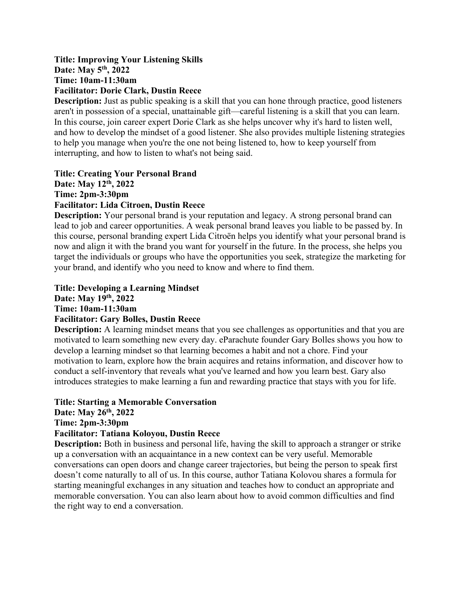### **Title: Improving Your Listening Skills Date: May 5th, 2022 Time: 10am-11:30am Facilitator: Dorie Clark, Dustin Reece**

**Description:** Just as public speaking is a skill that you can hone through practice, good listeners aren't in possession of a special, unattainable gift—careful listening is a skill that you can learn. In this course, join career expert Dorie Clark as she helps uncover why it's hard to listen well, and how to develop the mindset of a good listener. She also provides multiple listening strategies to help you manage when you're the one not being listened to, how to keep yourself from interrupting, and how to listen to what's not being said.

# **Title: Creating Your Personal Brand Date: May 12th, 2022 Time: 2pm-3:30pm Facilitator: Lida Citroen, Dustin Reece**

**Description:** Your personal brand is your reputation and legacy. A strong personal brand can lead to job and career opportunities. A weak personal brand leaves you liable to be passed by. In this course, personal branding expert Lida Citroën helps you identify what your personal brand is now and align it with the brand you want for yourself in the future. In the process, she helps you target the individuals or groups who have the opportunities you seek, strategize the marketing for your brand, and identify who you need to know and where to find them.

# **Title: Developing a Learning Mindset**

**Date: May 19th, 2022**

**Time: 10am-11:30am**

# **Facilitator: Gary Bolles, Dustin Reece**

**Description:** A learning mindset means that you see challenges as opportunities and that you are motivated to learn something new every day. eParachute founder Gary Bolles shows you how to develop a learning mindset so that learning becomes a habit and not a chore. Find your motivation to learn, explore how the brain acquires and retains information, and discover how to conduct a self-inventory that reveals what you've learned and how you learn best. Gary also introduces strategies to make learning a fun and rewarding practice that stays with you for life.

# **Title: Starting a Memorable Conversation**

**Date: May 26th, 2022**

**Time: 2pm-3:30pm**

# **Facilitator: Tatiana Koloyou, Dustin Reece**

**Description:** Both in business and personal life, having the skill to approach a stranger or strike up a conversation with an acquaintance in a new context can be very useful. Memorable conversations can open doors and change career trajectories, but being the person to speak first doesn't come naturally to all of us. In this course, author Tatiana Kolovou shares a formula for starting meaningful exchanges in any situation and teaches how to conduct an appropriate and memorable conversation. You can also learn about how to avoid common difficulties and find the right way to end a conversation.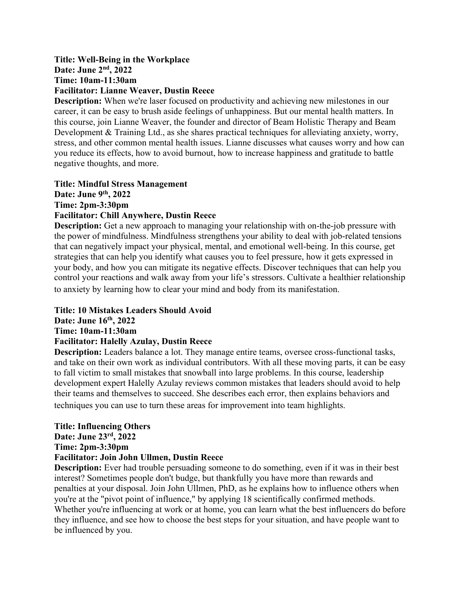# **Title: Well-Being in the Workplace Date: June 2nd, 2022 Time: 10am-11:30am Facilitator: Lianne Weaver, Dustin Reece**

**Description:** When we're laser focused on productivity and achieving new milestones in our career, it can be easy to brush aside feelings of unhappiness. But our mental health matters. In this course, join Lianne Weaver, the founder and director of Beam Holistic Therapy and Beam Development & Training Ltd., as she shares practical techniques for alleviating anxiety, worry, stress, and other common mental health issues. Lianne discusses what causes worry and how can you reduce its effects, how to avoid burnout, how to increase happiness and gratitude to battle negative thoughts, and more.

### **Title: Mindful Stress Management Date: June 9th, 2022 Time: 2pm-3:30pm Facilitator: Chill Anywhere, Dustin Reece**

**Description:** Get a new approach to managing your relationship with on-the-job pressure with the power of mindfulness. Mindfulness strengthens your ability to deal with job-related tensions that can negatively impact your physical, mental, and emotional well-being. In this course, get strategies that can help you identify what causes you to feel pressure, how it gets expressed in your body, and how you can mitigate its negative effects. Discover techniques that can help you control your reactions and walk away from your life's stressors. Cultivate a healthier relationship to anxiety by learning how to clear your mind and body from its manifestation.

# **Title: 10 Mistakes Leaders Should Avoid**

**Date: June 16th, 2022**

### **Time: 10am-11:30am**

# **Facilitator: Halelly Azulay, Dustin Reece**

**Description:** Leaders balance a lot. They manage entire teams, oversee cross-functional tasks, and take on their own work as individual contributors. With all these moving parts, it can be easy to fall victim to small mistakes that snowball into large problems. In this course, leadership development expert Halelly Azulay reviews common mistakes that leaders should avoid to help their teams and themselves to succeed. She describes each error, then explains behaviors and techniques you can use to turn these areas for improvement into team highlights.

# **Title: Influencing Others**

# **Date: June 23rd, 2022**

**Time: 2pm-3:30pm**

# **Facilitator: Join John Ullmen, Dustin Reece**

**Description:** Ever had trouble persuading someone to do something, even if it was in their best interest? Sometimes people don't budge, but thankfully you have more than rewards and penalties at your disposal. Join John Ullmen, PhD, as he explains how to influence others when you're at the "pivot point of influence," by applying 18 scientifically confirmed methods. Whether you're influencing at work or at home, you can learn what the best influencers do before they influence, and see how to choose the best steps for your situation, and have people want to be influenced by you.